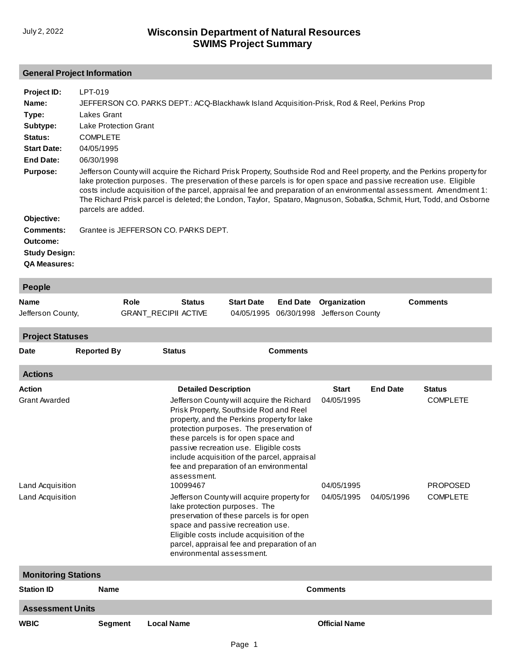# **General Project Information**

| Project ID:<br>Name: | LPT-019<br>JEFFERSON CO. PARKS DEPT.: ACQ-Blackhawk Island Acquisition-Prisk, Rod & Reel, Perkins Prop                                                                                                                                                                                                                                                                                                                                                                                                             |               |                   |                 |                  |                 |
|----------------------|--------------------------------------------------------------------------------------------------------------------------------------------------------------------------------------------------------------------------------------------------------------------------------------------------------------------------------------------------------------------------------------------------------------------------------------------------------------------------------------------------------------------|---------------|-------------------|-----------------|------------------|-----------------|
| Type:                | Lakes Grant                                                                                                                                                                                                                                                                                                                                                                                                                                                                                                        |               |                   |                 |                  |                 |
| Subtype:             | <b>Lake Protection Grant</b>                                                                                                                                                                                                                                                                                                                                                                                                                                                                                       |               |                   |                 |                  |                 |
| Status:              | <b>COMPLETE</b>                                                                                                                                                                                                                                                                                                                                                                                                                                                                                                    |               |                   |                 |                  |                 |
| <b>Start Date:</b>   | 04/05/1995                                                                                                                                                                                                                                                                                                                                                                                                                                                                                                         |               |                   |                 |                  |                 |
| <b>End Date:</b>     | 06/30/1998                                                                                                                                                                                                                                                                                                                                                                                                                                                                                                         |               |                   |                 |                  |                 |
| <b>Purpose:</b>      | Jefferson County will acquire the Richard Prisk Property, Southside Rod and Reel property, and the Perkins property for<br>lake protection purposes. The preservation of these parcels is for open space and passive recreation use. Eligible<br>costs include acquisition of the parcel, appraisal fee and preparation of an environmental assessment. Amendment 1:<br>The Richard Prisk parcel is deleted; the London, Taylor, Spataro, Magnuson, Sobatka, Schmit, Hurt, Todd, and Osborne<br>parcels are added. |               |                   |                 |                  |                 |
| Objective:           |                                                                                                                                                                                                                                                                                                                                                                                                                                                                                                                    |               |                   |                 |                  |                 |
| Comments:            | Grantee is JEFFERSON CO. PARKS DEPT.                                                                                                                                                                                                                                                                                                                                                                                                                                                                               |               |                   |                 |                  |                 |
| Outcome:             |                                                                                                                                                                                                                                                                                                                                                                                                                                                                                                                    |               |                   |                 |                  |                 |
| <b>Study Design:</b> |                                                                                                                                                                                                                                                                                                                                                                                                                                                                                                                    |               |                   |                 |                  |                 |
| <b>QA Measures:</b>  |                                                                                                                                                                                                                                                                                                                                                                                                                                                                                                                    |               |                   |                 |                  |                 |
| People               |                                                                                                                                                                                                                                                                                                                                                                                                                                                                                                                    |               |                   |                 |                  |                 |
| Name                 | Role                                                                                                                                                                                                                                                                                                                                                                                                                                                                                                               | <b>Status</b> | <b>Start Date</b> | <b>End Date</b> | Organization     | <b>Comments</b> |
| Jefferson County,    | <b>GRANT RECIPII ACTIVE</b>                                                                                                                                                                                                                                                                                                                                                                                                                                                                                        |               | 04/05/1995        | 06/30/1998      | Jefferson County |                 |
| .                    |                                                                                                                                                                                                                                                                                                                                                                                                                                                                                                                    |               |                   |                 |                  |                 |

**Project Statuses**

| .<br><b>Date</b>     | <b>Reported By</b>         | <b>Status</b>               | <b>Comments</b>                                                                                                                                                                                                                                                                                                                                            |                      |                 |                 |  |  |  |
|----------------------|----------------------------|-----------------------------|------------------------------------------------------------------------------------------------------------------------------------------------------------------------------------------------------------------------------------------------------------------------------------------------------------------------------------------------------------|----------------------|-----------------|-----------------|--|--|--|
| <b>Actions</b>       |                            |                             |                                                                                                                                                                                                                                                                                                                                                            |                      |                 |                 |  |  |  |
| <b>Action</b>        |                            | <b>Detailed Description</b> |                                                                                                                                                                                                                                                                                                                                                            | <b>Start</b>         | <b>End Date</b> | <b>Status</b>   |  |  |  |
| <b>Grant Awarded</b> |                            | assessment.                 | Jefferson County will acquire the Richard<br>Prisk Property, Southside Rod and Reel<br>property, and the Perkins property for lake<br>protection purposes. The preservation of<br>these parcels is for open space and<br>passive recreation use. Eligible costs<br>include acquisition of the parcel, appraisal<br>fee and preparation of an environmental | 04/05/1995           |                 | <b>COMPLETE</b> |  |  |  |
| Land Acquisition     |                            | 10099467                    |                                                                                                                                                                                                                                                                                                                                                            | 04/05/1995           |                 | <b>PROPOSED</b> |  |  |  |
| Land Acquisition     |                            | environmental assessment.   | Jefferson County will acquire property for<br>lake protection purposes. The<br>preservation of these parcels is for open<br>space and passive recreation use.<br>Eligible costs include acquisition of the<br>parcel, appraisal fee and preparation of an                                                                                                  | 04/05/1995           | 04/05/1996      | <b>COMPLETE</b> |  |  |  |
|                      | <b>Monitoring Stations</b> |                             |                                                                                                                                                                                                                                                                                                                                                            |                      |                 |                 |  |  |  |
| <b>Station ID</b>    | <b>Name</b>                |                             |                                                                                                                                                                                                                                                                                                                                                            | <b>Comments</b>      |                 |                 |  |  |  |
|                      | <b>Assessment Units</b>    |                             |                                                                                                                                                                                                                                                                                                                                                            |                      |                 |                 |  |  |  |
| <b>WBIC</b>          | <b>Segment</b>             | <b>Local Name</b>           |                                                                                                                                                                                                                                                                                                                                                            | <b>Official Name</b> |                 |                 |  |  |  |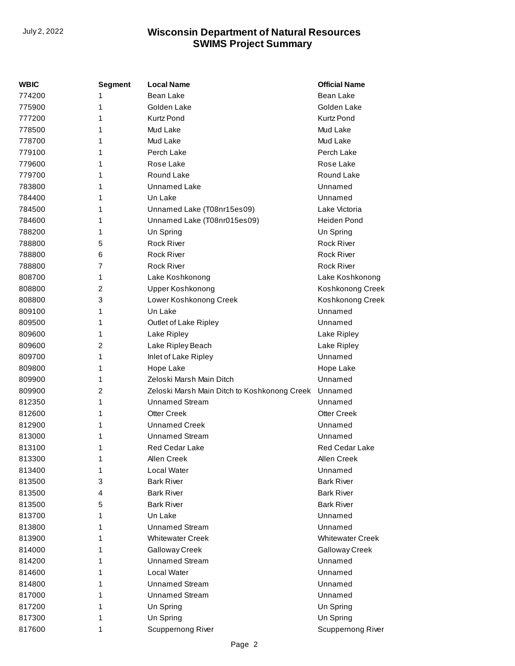| <b>WBIC</b> | <b>Segment</b> | <b>Local Name</b>                            | <b>Official Name</b>    |
|-------------|----------------|----------------------------------------------|-------------------------|
| 774200      | 1              | Bean Lake                                    | Bean Lake               |
| 775900      | 1              | Golden Lake                                  | Golden Lake             |
| 777200      | 1              | <b>Kurtz Pond</b>                            | <b>Kurtz Pond</b>       |
| 778500      | 1              | Mud Lake                                     | Mud Lake                |
| 778700      | 1              | Mud Lake                                     | Mud Lake                |
| 779100      | 1              | Perch Lake                                   | Perch Lake              |
| 779600      | 1              | Rose Lake                                    | Rose Lake               |
| 779700      | 1              | Round Lake                                   | Round Lake              |
| 783800      | 1              | <b>Unnamed Lake</b>                          | Unnamed                 |
| 784400      | 1              | Un Lake                                      | Unnamed                 |
| 784500      | 1              | Unnamed Lake (T08nr15es09)                   | Lake Victoria           |
| 784600      | 1              | Unnamed Lake (T08nr015es09)                  | <b>Heiden Pond</b>      |
| 788200      | 1              | Un Spring                                    | Un Spring               |
| 788800      | 5              | <b>Rock River</b>                            | <b>Rock River</b>       |
| 788800      | 6              | <b>Rock River</b>                            | <b>Rock River</b>       |
| 788800      | 7              | <b>Rock River</b>                            | <b>Rock River</b>       |
| 808700      | 1              | Lake Koshkonong                              | Lake Koshkonong         |
| 808800      | 2              | <b>Upper Koshkonong</b>                      | Koshkonong Creek        |
| 808800      | 3              | Lower Koshkonong Creek                       | Koshkonong Creek        |
| 809100      | 1              | Un Lake                                      | Unnamed                 |
| 809500      | 1              | Outlet of Lake Ripley                        | Unnamed                 |
| 809600      | 1              | Lake Ripley                                  | Lake Ripley             |
| 809600      | 2              | Lake Ripley Beach                            | Lake Ripley             |
| 809700      | 1              | Inlet of Lake Ripley                         | Unnamed                 |
| 809800      | 1              | Hope Lake                                    | Hope Lake               |
| 809900      | 1              | Zeloski Marsh Main Ditch                     | Unnamed                 |
| 809900      | 2              | Zeloski Marsh Main Ditch to Koshkonong Creek | Unnamed                 |
| 812350      | 1              | <b>Unnamed Stream</b>                        | Unnamed                 |
| 812600      | 1              | <b>Otter Creek</b>                           | <b>Otter Creek</b>      |
| 812900      | 1              | <b>Unnamed Creek</b>                         | Unnamed                 |
| 813000      | 1              | <b>Unnamed Stream</b>                        | Unnamed                 |
| 813100      | 1              | Red Cedar Lake                               | <b>Red Cedar Lake</b>   |
| 813300      | 1              | Allen Creek                                  | Allen Creek             |
| 813400      | 1              | Local Water                                  | Unnamed                 |
| 813500      | 3              | <b>Bark River</b>                            | <b>Bark River</b>       |
| 813500      | 4              | <b>Bark River</b>                            | <b>Bark River</b>       |
| 813500      | 5              | <b>Bark River</b>                            | <b>Bark River</b>       |
| 813700      | 1              | Un Lake                                      | Unnamed                 |
| 813800      | 1              | <b>Unnamed Stream</b>                        | Unnamed                 |
| 813900      | 1              | <b>Whitewater Creek</b>                      | <b>Whitewater Creek</b> |
| 814000      | 1              | Galloway Creek                               | Galloway Creek          |
| 814200      | 1              | <b>Unnamed Stream</b>                        | Unnamed                 |
| 814600      | 1              | Local Water                                  | Unnamed                 |
| 814800      | 1              | <b>Unnamed Stream</b>                        | Unnamed                 |
| 817000      | 1              | <b>Unnamed Stream</b>                        | Unnamed                 |
| 817200      | 1              | Un Spring                                    | Un Spring               |
| 817300      | 1              | Un Spring                                    | Un Spring               |
| 817600      | 1              | Scuppernong River                            | Scuppernong River       |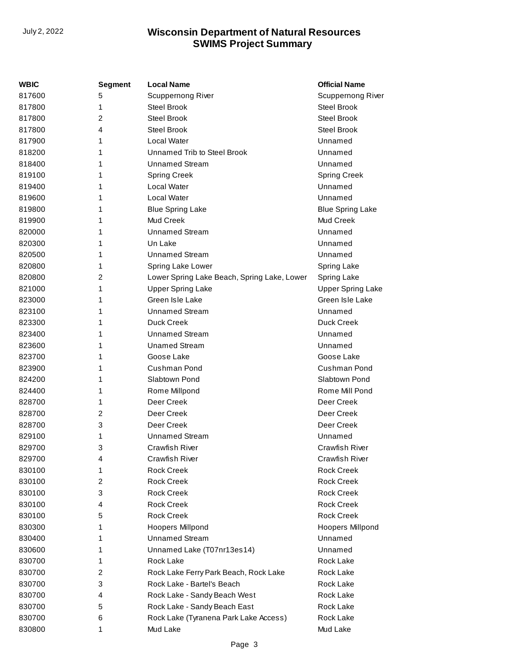| WBIC   | Segment        | <b>Local Name</b>                           | <b>Official Name</b>     |
|--------|----------------|---------------------------------------------|--------------------------|
| 817600 | 5              | <b>Scuppernong River</b>                    | Scuppernong River        |
| 817800 | 1              | Steel Brook                                 | Steel Brook              |
| 817800 | $\overline{c}$ | <b>Steel Brook</b>                          | <b>Steel Brook</b>       |
| 817800 | 4              | <b>Steel Brook</b>                          | Steel Brook              |
| 817900 | 1              | Local Water                                 | Unnamed                  |
| 818200 | 1              | Unnamed Trib to Steel Brook                 | Unnamed                  |
| 818400 | 1              | <b>Unnamed Stream</b>                       | Unnamed                  |
| 819100 | 1              | <b>Spring Creek</b>                         | <b>Spring Creek</b>      |
| 819400 | 1              | Local Water                                 | Unnamed                  |
| 819600 | 1              | Local Water                                 | Unnamed                  |
| 819800 | 1              | <b>Blue Spring Lake</b>                     | <b>Blue Spring Lake</b>  |
| 819900 | 1              | <b>Mud Creek</b>                            | Mud Creek                |
| 820000 | 1              | <b>Unnamed Stream</b>                       | Unnamed                  |
| 820300 | 1              | Un Lake                                     | Unnamed                  |
| 820500 | 1              | Unnamed Stream                              | Unnamed                  |
| 820800 | 1              | Spring Lake Lower                           | Spring Lake              |
| 820800 | 2              | Lower Spring Lake Beach, Spring Lake, Lower | Spring Lake              |
| 821000 | 1              | <b>Upper Spring Lake</b>                    | <b>Upper Spring Lake</b> |
| 823000 | 1              | Green Isle Lake                             | Green Isle Lake          |
| 823100 | 1              | <b>Unnamed Stream</b>                       | Unnamed                  |
| 823300 | 1              | Duck Creek                                  | Duck Creek               |
| 823400 | 1              | <b>Unnamed Stream</b>                       | Unnamed                  |
| 823600 | 1              | <b>Unamed Stream</b>                        | Unnamed                  |
| 823700 | 1              | Goose Lake                                  | Goose Lake               |
| 823900 | 1              | Cushman Pond                                | Cushman Pond             |
| 824200 | 1              | Slabtown Pond                               | Slabtown Pond            |
| 824400 | 1              | Rome Millpond                               | Rome Mill Pond           |
| 828700 | 1              | Deer Creek                                  | Deer Creek               |
| 828700 | 2              | Deer Creek                                  | Deer Creek               |
| 828700 | 3              | Deer Creek                                  | Deer Creek               |
| 829100 | 1              | <b>Unnamed Stream</b>                       | Unnamed                  |
| 829700 | 3              | <b>Crawfish River</b>                       | <b>Crawfish River</b>    |
| 829700 | 4              | Crawfish River                              | Crawfish River           |
| 830100 | 1              | <b>Rock Creek</b>                           | <b>Rock Creek</b>        |
| 830100 | 2              | <b>Rock Creek</b>                           | <b>Rock Creek</b>        |
| 830100 | 3              | <b>Rock Creek</b>                           | <b>Rock Creek</b>        |
| 830100 | 4              | <b>Rock Creek</b>                           | <b>Rock Creek</b>        |
| 830100 | 5              | <b>Rock Creek</b>                           | <b>Rock Creek</b>        |
| 830300 | 1              | <b>Hoopers Millpond</b>                     | <b>Hoopers Millpond</b>  |
| 830400 | 1              | <b>Unnamed Stream</b>                       | Unnamed                  |
| 830600 | 1              | Unnamed Lake (T07nr13es14)                  | Unnamed                  |
| 830700 | 1              | Rock Lake                                   | Rock Lake                |
| 830700 | 2              | Rock Lake Ferry Park Beach, Rock Lake       | Rock Lake                |
| 830700 | 3              | Rock Lake - Bartel's Beach                  | Rock Lake                |
| 830700 | 4              | Rock Lake - Sandy Beach West                | Rock Lake                |
| 830700 | 5              | Rock Lake - Sandy Beach East                | Rock Lake                |
| 830700 | 6              | Rock Lake (Tyranena Park Lake Access)       | Rock Lake                |
| 830800 | 1              | Mud Lake                                    | Mud Lake                 |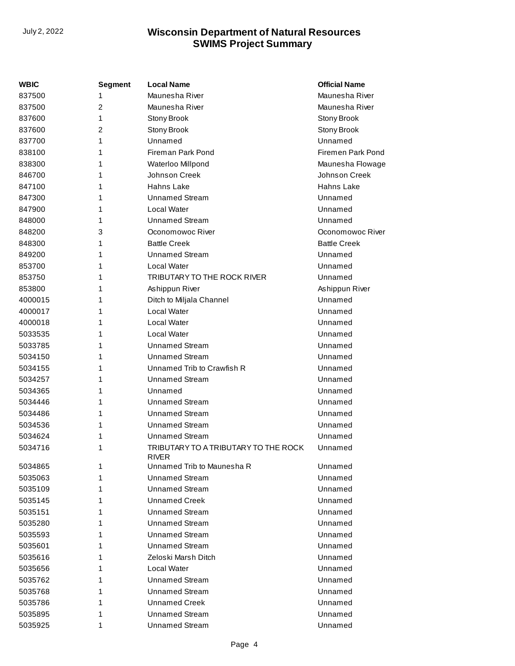| <b>WBIC</b> | <b>Segment</b> | <b>Local Name</b>                                    | <b>Official Name</b> |
|-------------|----------------|------------------------------------------------------|----------------------|
| 837500      | 1              | Maunesha River                                       | Maunesha River       |
| 837500      | $\overline{2}$ | Maunesha River                                       | Maunesha River       |
| 837600      | 1              | Stony Brook                                          | Stony Brook          |
| 837600      | 2              | Stony Brook                                          | Stony Brook          |
| 837700      | 1              | Unnamed                                              | Unnamed              |
| 838100      | 1              | Fireman Park Pond                                    | Firemen Park Pond    |
| 838300      | 1              | Waterloo Millpond                                    | Maunesha Flowage     |
| 846700      | 1              | Johnson Creek                                        | Johnson Creek        |
| 847100      | 1              | Hahns Lake                                           | Hahns Lake           |
| 847300      | 1              | Unnamed Stream                                       | Unnamed              |
| 847900      | 1              | Local Water                                          | Unnamed              |
| 848000      | 1              | <b>Unnamed Stream</b>                                | Unnamed              |
| 848200      | 3              | Oconomowoc River                                     | Oconomowoc River     |
| 848300      | 1              | <b>Battle Creek</b>                                  | <b>Battle Creek</b>  |
| 849200      | 1              | <b>Unnamed Stream</b>                                | Unnamed              |
| 853700      | 1              | Local Water                                          | Unnamed              |
| 853750      | 1              | TRIBUTARY TO THE ROCK RIVER                          | Unnamed              |
| 853800      | 1              | Ashippun River                                       | Ashippun River       |
| 4000015     | 1              | Ditch to Miljala Channel                             | Unnamed              |
| 4000017     | 1              | Local Water                                          | Unnamed              |
| 4000018     | 1              | Local Water                                          | Unnamed              |
| 5033535     | 1              | Local Water                                          | Unnamed              |
| 5033785     | 1              | <b>Unnamed Stream</b>                                | Unnamed              |
| 5034150     | 1              | <b>Unnamed Stream</b>                                | Unnamed              |
| 5034155     | 1              | Unnamed Trib to Crawfish R                           | Unnamed              |
| 5034257     | 1              | <b>Unnamed Stream</b>                                | Unnamed              |
| 5034365     | 1              | Unnamed                                              | Unnamed              |
| 5034446     | 1              | <b>Unnamed Stream</b>                                | Unnamed              |
| 5034486     | 1              | <b>Unnamed Stream</b>                                | Unnamed              |
| 5034536     | 1              | <b>Unnamed Stream</b>                                | Unnamed              |
| 5034624     | 1              | Unnamed Stream                                       | Unnamed              |
| 5034716     | 1              | TRIBUTARY TO A TRIBUTARY TO THE ROCK<br><b>RIVER</b> | Unnamed              |
| 5034865     | 1              | Unnamed Trib to Maunesha R                           | Unnamed              |
| 5035063     | 1              | Unnamed Stream                                       | Unnamed              |
| 5035109     | 1              | Unnamed Stream                                       | Unnamed              |
| 5035145     | 1              | Unnamed Creek                                        | Unnamed              |
| 5035151     | 1              | <b>Unnamed Stream</b>                                | Unnamed              |
| 5035280     | 1              | Unnamed Stream                                       | Unnamed              |
| 5035593     | 1              | <b>Unnamed Stream</b>                                | Unnamed              |
| 5035601     | 1              | <b>Unnamed Stream</b>                                | Unnamed              |
| 5035616     | 1              | Zeloski Marsh Ditch                                  | Unnamed              |
| 5035656     | 1              | Local Water                                          | Unnamed              |
| 5035762     | 1              | Unnamed Stream                                       | Unnamed              |
| 5035768     | 1              | Unnamed Stream                                       | Unnamed              |
| 5035786     | 1              | <b>Unnamed Creek</b>                                 | Unnamed              |
| 5035895     | 1              | Unnamed Stream                                       | Unnamed              |
| 5035925     | 1              | <b>Unnamed Stream</b>                                | Unnamed              |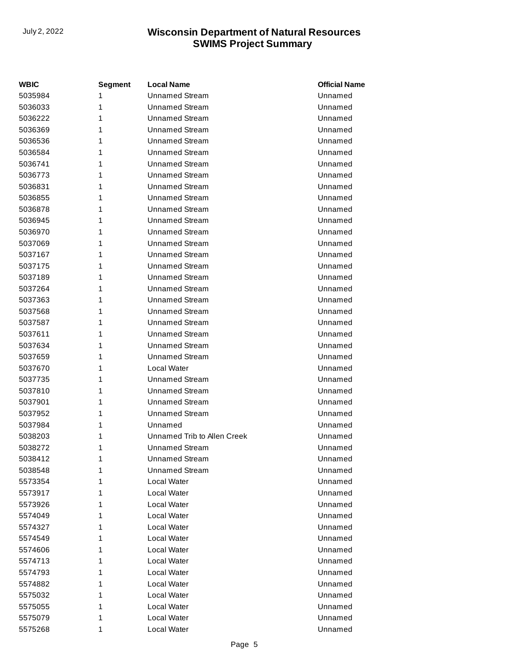| <b>WBIC</b> | <b>Segment</b> | <b>Local Name</b>           | <b>Official Name</b> |
|-------------|----------------|-----------------------------|----------------------|
| 5035984     | 1              | <b>Unnamed Stream</b>       | Unnamed              |
| 5036033     | 1              | <b>Unnamed Stream</b>       | Unnamed              |
| 5036222     | 1              | <b>Unnamed Stream</b>       | Unnamed              |
| 5036369     | 1              | <b>Unnamed Stream</b>       | Unnamed              |
| 5036536     | 1              | <b>Unnamed Stream</b>       | Unnamed              |
| 5036584     | 1              | <b>Unnamed Stream</b>       | Unnamed              |
| 5036741     | 1              | <b>Unnamed Stream</b>       | Unnamed              |
| 5036773     | 1              | <b>Unnamed Stream</b>       | Unnamed              |
| 5036831     | 1              | <b>Unnamed Stream</b>       | Unnamed              |
| 5036855     | 1              | <b>Unnamed Stream</b>       | Unnamed              |
| 5036878     | 1              | <b>Unnamed Stream</b>       | Unnamed              |
| 5036945     | 1              | <b>Unnamed Stream</b>       | Unnamed              |
| 5036970     | 1              | <b>Unnamed Stream</b>       | Unnamed              |
| 5037069     | 1              | <b>Unnamed Stream</b>       | Unnamed              |
| 5037167     | 1              | <b>Unnamed Stream</b>       | Unnamed              |
| 5037175     | 1              | <b>Unnamed Stream</b>       | Unnamed              |
| 5037189     | 1              | <b>Unnamed Stream</b>       | Unnamed              |
| 5037264     | 1              | <b>Unnamed Stream</b>       | Unnamed              |
| 5037363     | 1              | <b>Unnamed Stream</b>       | Unnamed              |
| 5037568     | 1              | <b>Unnamed Stream</b>       | Unnamed              |
| 5037587     | 1              | <b>Unnamed Stream</b>       | Unnamed              |
| 5037611     | 1              | <b>Unnamed Stream</b>       | Unnamed              |
| 5037634     | 1              | <b>Unnamed Stream</b>       | Unnamed              |
| 5037659     | 1              | <b>Unnamed Stream</b>       | Unnamed              |
| 5037670     | 1              | Local Water                 | Unnamed              |
| 5037735     | 1              | <b>Unnamed Stream</b>       | Unnamed              |
| 5037810     | 1              | <b>Unnamed Stream</b>       | Unnamed              |
| 5037901     | 1              | <b>Unnamed Stream</b>       | Unnamed              |
| 5037952     | 1              | <b>Unnamed Stream</b>       | Unnamed              |
| 5037984     | 1              | Unnamed                     | Unnamed              |
| 5038203     | 1              | Unnamed Trib to Allen Creek | Unnamed              |
| 5038272     | 1              | <b>Unnamed Stream</b>       | Unnamed              |
| 5038412     | 1              | <b>Unnamed Stream</b>       | Unnamed              |
| 5038548     | 1              | Unnamed Stream              | Unnamed              |
| 5573354     | 1              | Local Water                 | Unnamed              |
| 5573917     | 1              | Local Water                 | Unnamed              |
| 5573926     | 1              | Local Water                 | Unnamed              |
| 5574049     | 1              | Local Water                 | Unnamed              |
| 5574327     | 1              | Local Water                 | Unnamed              |
| 5574549     | 1              | Local Water                 | Unnamed              |
| 5574606     | 1              | Local Water                 | Unnamed              |
| 5574713     | 1              | Local Water                 | Unnamed              |
| 5574793     | 1              | Local Water                 | Unnamed              |
| 5574882     | 1              | Local Water                 | Unnamed              |
| 5575032     | 1              | Local Water                 | Unnamed              |
| 5575055     | 1              | Local Water                 | Unnamed              |
| 5575079     | 1              | Local Water                 | Unnamed              |
| 5575268     | 1              | Local Water                 | Unnamed              |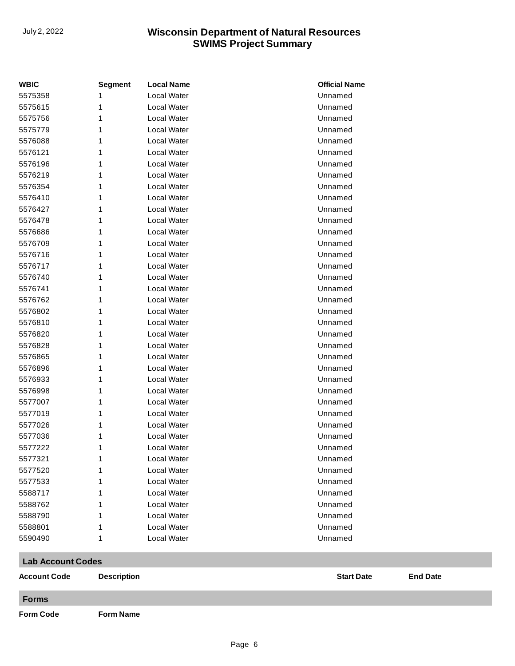| <b>WBIC</b>              | <b>Segment</b>     | <b>Local Name</b> | <b>Official Name</b> |                 |
|--------------------------|--------------------|-------------------|----------------------|-----------------|
| 5575358                  |                    | Local Water       | Unnamed              |                 |
| 5575615                  | 1                  | Local Water       | Unnamed              |                 |
| 5575756                  | 1                  | Local Water       | Unnamed              |                 |
| 5575779                  | 1                  | Local Water       | Unnamed              |                 |
| 5576088                  | 1                  | Local Water       | Unnamed              |                 |
| 5576121                  | 1                  | Local Water       | Unnamed              |                 |
| 5576196                  | 1                  | Local Water       | Unnamed              |                 |
| 5576219                  | 1                  | Local Water       | Unnamed              |                 |
| 5576354                  | 1                  | Local Water       | Unnamed              |                 |
| 5576410                  | 1                  | Local Water       | Unnamed              |                 |
| 5576427                  | 1                  | Local Water       | Unnamed              |                 |
| 5576478                  | 1                  | Local Water       | Unnamed              |                 |
| 5576686                  | 1                  | Local Water       | Unnamed              |                 |
| 5576709                  | 1                  | Local Water       | Unnamed              |                 |
| 5576716                  | 1                  | Local Water       | Unnamed              |                 |
| 5576717                  | 1                  | Local Water       | Unnamed              |                 |
| 5576740                  | 1                  | Local Water       | Unnamed              |                 |
| 5576741                  | 1                  | Local Water       | Unnamed              |                 |
| 5576762                  | 1                  | Local Water       | Unnamed              |                 |
| 5576802                  | 1                  | Local Water       | Unnamed              |                 |
| 5576810                  | 1                  | Local Water       | Unnamed              |                 |
| 5576820                  | 1                  | Local Water       | Unnamed              |                 |
| 5576828                  | 1                  | Local Water       | Unnamed              |                 |
| 5576865                  | 1                  | Local Water       | Unnamed              |                 |
| 5576896                  | 1                  | Local Water       | Unnamed              |                 |
| 5576933                  | 1                  | Local Water       | Unnamed              |                 |
| 5576998                  | 1                  | Local Water       | Unnamed              |                 |
| 5577007                  | 1                  | Local Water       | Unnamed              |                 |
| 5577019                  | 1                  | Local Water       | Unnamed              |                 |
| 5577026                  | 1                  | Local Water       | Unnamed              |                 |
| 5577036                  | 1                  | Local Water       | Unnamed              |                 |
| 5577222                  | 1                  | Local Water       | Unnamed              |                 |
| 5577321                  | 1                  | Local Water       | Unnamed              |                 |
| 5577520                  | 1                  | Local Water       | Unnamed              |                 |
| 5577533                  | 1                  | Local Water       | Unnamed              |                 |
| 5588717                  | 1                  | Local Water       | Unnamed              |                 |
| 5588762                  | 1                  | Local Water       | Unnamed              |                 |
| 5588790                  | 1                  | Local Water       | Unnamed              |                 |
| 5588801                  | 1                  | Local Water       | Unnamed              |                 |
| 5590490                  | 1                  | Local Water       | Unnamed              |                 |
|                          |                    |                   |                      |                 |
| <b>Lab Account Codes</b> |                    |                   |                      |                 |
| <b>Account Code</b>      | <b>Description</b> |                   | <b>Start Date</b>    | <b>End Date</b> |
| <b>Forms</b>             |                    |                   |                      |                 |
| <b>Form Code</b>         | <b>Form Name</b>   |                   |                      |                 |